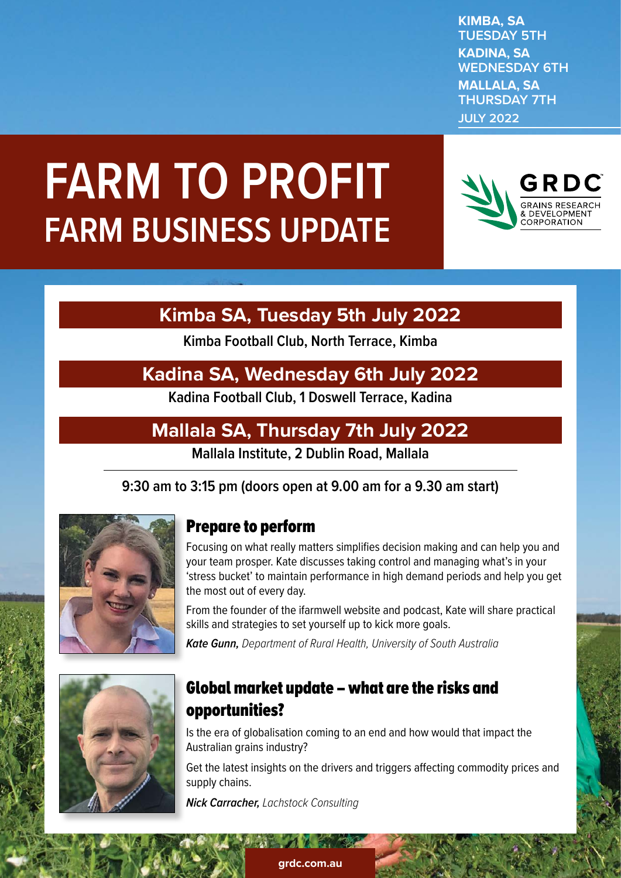**KIMBA, SA TUESDAY 5TH KADINA, SA WEDNESDAY 6TH MALLALA, SA THURSDAY 7TH JULY 2022**

# **FARM TO PROFIT FARM BUSINESS UPDATE**



# **Kimba SA, Tuesday 5th July 2022**

**Kimba Football Club, North Terrace, Kimba**

## **Kadina SA, Wednesday 6th July 2022**

**Kadina Football Club, 1 Doswell Terrace, Kadina**

# **Mallala SA, Thursday 7th July 2022**

**Mallala Institute, 2 Dublin Road, Mallala**

**9:30 am to 3:15 pm (doors open at 9.00 am for a 9.30 am start)**



#### Prepare to perform

Focusing on what really matters simplifies decision making and can help you and your team prosper. Kate discusses taking control and managing what's in your 'stress bucket' to maintain performance in high demand periods and help you get the most out of every day.

From the founder of the ifarmwell website and podcast, Kate will share practical skills and strategies to set yourself up to kick more goals.

*Kate Gunn, Department of Rural Health, University of South Australia*



#### Global market update – what are the risks and opportunities?

Is the era of globalisation coming to an end and how would that impact the Australian grains industry?

Get the latest insights on the drivers and triggers affecting commodity prices and supply chains.

*Nick Carracher, Lachstock Consulting*